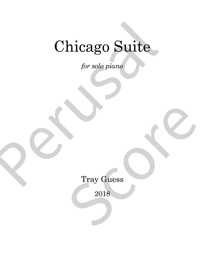## Chicago Suite<br>
for solo piano<br>
Tray Guess Chicago Suite

*for solo piano*

Tray Guess Tray Guess

2018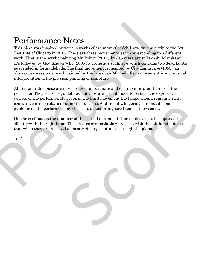## Performance Notes

**Performance Notes**<br>This piece was impined by various works of art, most of which I saw during a trip to the Art<br>Institute of Chicago in 2018. There are three movements, each corresponding to a different<br>werk. First is the This piece was inspired by various works of art, most of which I saw during a trip to the Art Institute of Chicago in 2018. There are three movements, each corresponding to a different work. First is the acrylic painting Mr. Pointy (2011), by Japanese artist Takashi Murakami. It's followed by God Knows Why (2005), a grotesque sculpture which contains two dead lambs suspended in formaldehyde. The final movement is inspired by City Landscape (1955), an abstract expressionist work painted by the late Joan Mitchell. Each movement is my musical interpretation of the physical painting or sculpture.

All tempi in this piece are more or less approximate and open to interpretation from the performer. They serve as guidelines, but they are not intended to restrict the expressive desires of the performer. However, in the third movement the tempo should remain strictly constant, with no rubato or other fluctuations. Additionally, fingerings are notated as guidelines - the performer may choose to adjust or ingnore them as they see fit.

oner incutuations. Additionary, ingerings are notated as<br>hay choose to adjust or ingnore them as they see fit.<br>bar of the second movement. Here, notes are to be depressed<br>a ghostly ringing continues through the piano.<br>a gh One area of note is the final bar of the second movement. Here, notes are to be depressed silently with the right hand. This creates sympathetic vibrations with the left hand notes so that when they are released a ghostly ringing continues through the piano.

*-T.G.*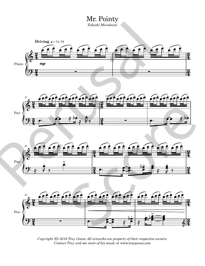Mr. Pointy *Takashi Murakami*









*Copyright (©) 2018 Tray Guess. All artworks are property of their respective owners. Contact Tray and see more of his music at* www.trayguess.com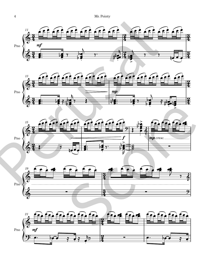







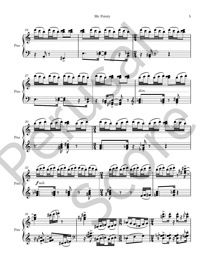







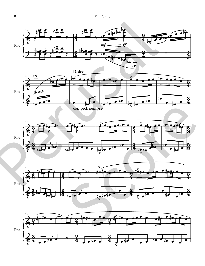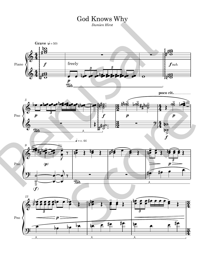## God Knows Why

*Damien Hirst*

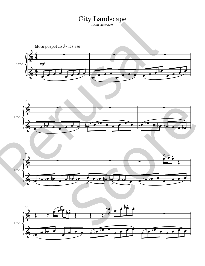## City Landscape

*Joan Mitchell*







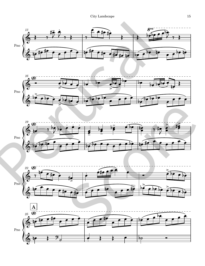